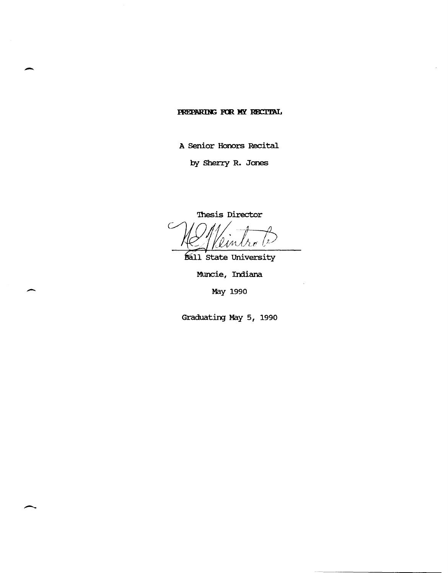## PREPARING FOR MY RECITAL

-

-

A Senior Honors Recital

by Sherry R. Jones

'Ihesis Director

'l in Λõ

Ball State University

Muncie, Indiana

May 1990

Graduating May 5, 1990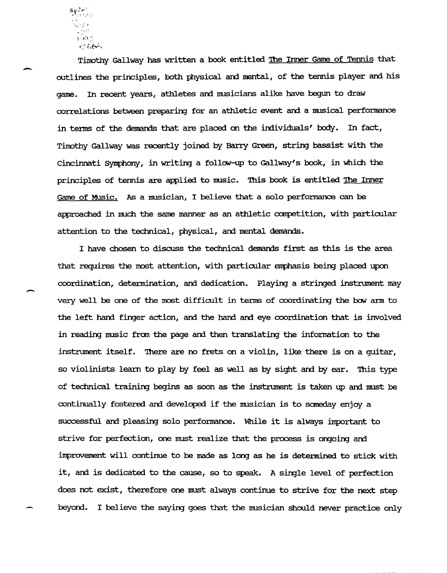Timothy Gallway has written a book entitled The Inner Game of Tennis that outlines the principles, both physical and mental, of the tennis player and his game. In recent years, athletes and musicians alike have begun to draw correlations between preparing for an athletic event and a musical performance in terms of the demands that are placed on the individuals' body. In fact, Timothy Gallway was recently joined by Barry Green, string bassist with the Cincinnati Symphony, in writing a follow-up to Gallway's book, in which the principles of tennis are applied to music. This book is entitled The Inner Game of Music. As a musician, I believe that a solo performance can be approached in much the same manner as an athletic competition, with particular attention to the technical, physical, and mental demands.

I have chosen to discuss the technical demands first as this is the area that requires the most attention, with particular emphasis being placed upon coordination, determination, and dedication. Playing a stringed instrument may very well be one of the most difficult in tenns of coordinating the bow ann to the left hand finger action, and the hand and eye coordination that is involved in reading music from the page and then translating the information to the instrument itself. There are no frets on a violin, like there is on a quitar, so violinists learn to play by feel as well as by sight and by ear. This type of technical training begins as soon as the instrument is taken up and must be continually fostered and developed if the musician is to someday enjoy a successful and pleasing solo performance. While it is always important to strive for perfection, one must realize that the process is ongoing and improvement will continue to be made as long as he is determined to stick with it, and is dedicated to the cause, so to speak. A single level of perfection does not exist, therefore one must always continue to strive for the next step beyond. I believe the saying goes that the musician should never practice only

-

-

• … I 990  $:166$ 

 $\epsilon$ i $\zeta$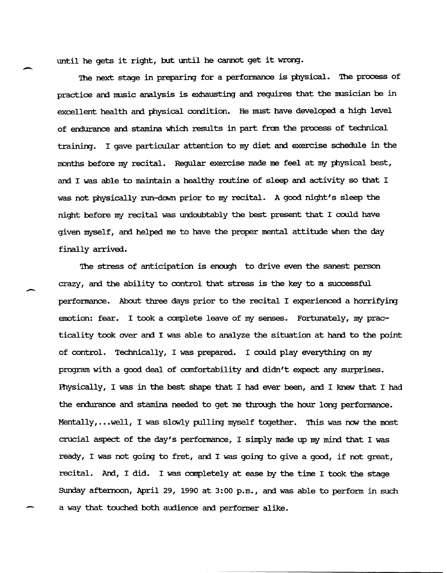until he gets it right, but until he cannot get it wrong.

The next stage in preparing for a performance is physical. The process of practice and music analysis is exhausting and requires that the musician be in excellent health and physical condition. He must have developed a high level of endurance and stamina which results in part from the process of technical training. I gave particular attention to my diet am exercise schedule in the months before my recital. Regular exercise made me feel at my physical best, and I was able to maintain a healthy routine of sleep and activity so that I was not physically run-down prior to my recital. A good night's sleep the night before my recital was undoubtably the best present that I could have given myself, and helped me to have the proper mental attitude when the day finally arrived.

The stress of anticipation is enough to drive even the sanest person crazy, and the ability to control that stress is the key to a successful perfonnance. .About three days prior to the recital I experienced a horrifying emotion: fear. I took a complete leave of my senses. Fortunately, my practicality took over and I was able to analyze the situation at hand to the point of control. Technically, I was prepared. I could play everything on my program with a good deal of comfortability and didn't expect any surprises. Physically, I was in the best shape that I had ever been, and I knew that I had the endurance and stamina needed to get me through the hour long performance. Mentally,... well, I was slowly pulling myself together. This was now the most crucial aspect of the day's performance, I simply made up my mind that I was ready, I was not going to fret, and I was going to give a good, if not great, recital. And, I did. I was completely at ease by the time I took the stage Sunday afternoon, April 29, 1990 at 3:00 p.m., and was able to perform in such a way that touched both audience and performer alike.

 $\overline{\phantom{0}}$ 

 $\overline{\phantom{0}}$